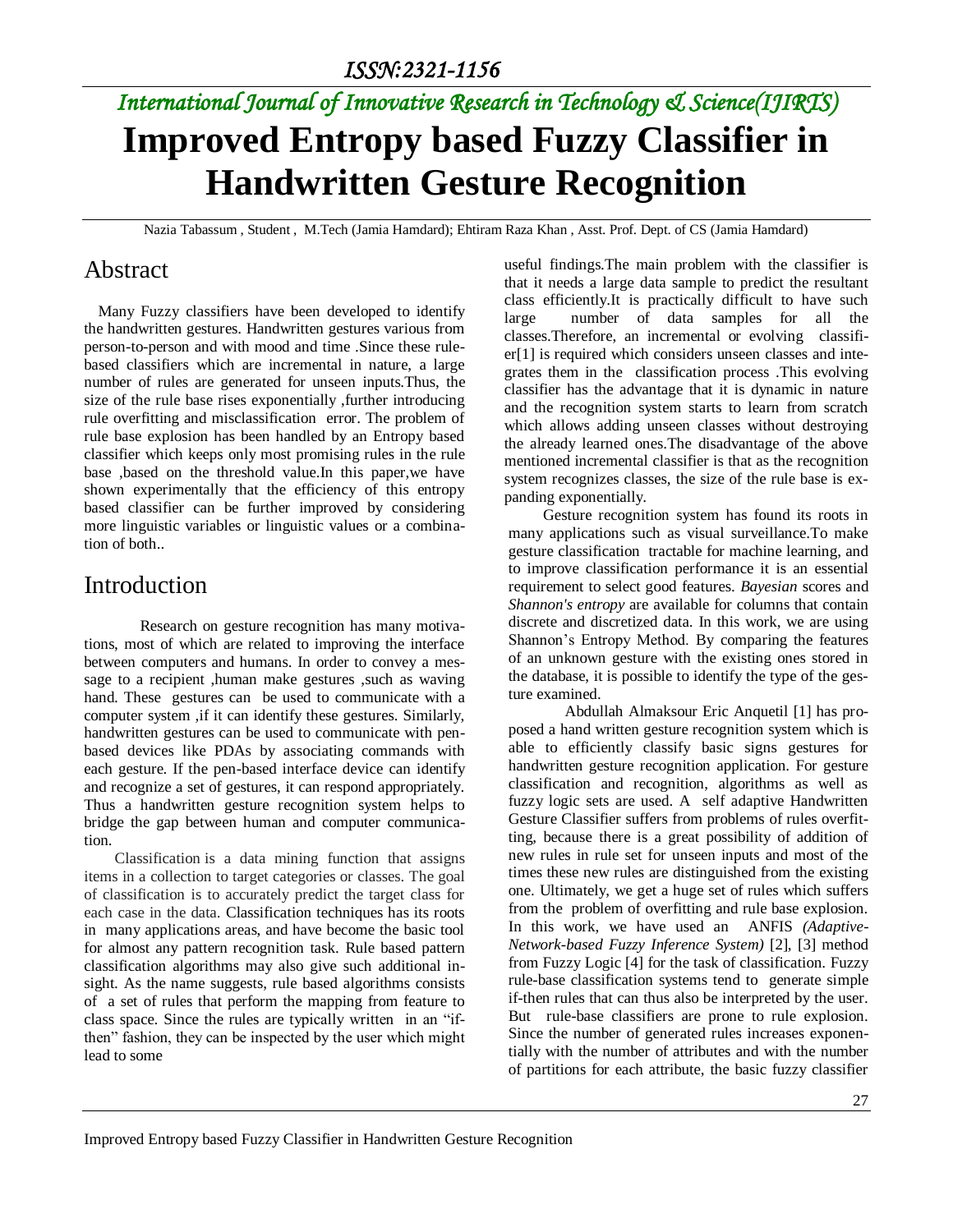# *International Journal of Innovative Research in Technology & Science(IJIRTS)* **Improved Entropy based Fuzzy Classifier in Handwritten Gesture Recognition**

Nazia Tabassum , Student , M.Tech (Jamia Hamdard); Ehtiram Raza Khan , Asst. Prof. Dept. of CS (Jamia Hamdard)

### Abstract

Many Fuzzy classifiers have been developed to identify the handwritten gestures. Handwritten gestures various from person-to-person and with mood and time .Since these rulebased classifiers which are incremental in nature, a large number of rules are generated for unseen inputs.Thus, the size of the rule base rises exponentially ,further introducing rule overfitting and misclassification error. The problem of rule base explosion has been handled by an Entropy based classifier which keeps only most promising rules in the rule base ,based on the threshold value.In this paper,we have shown experimentally that the efficiency of this entropy based classifier can be further improved by considering more linguistic variables or linguistic values or a combination of both..

### Introduction

Research on gesture recognition has many motivations, most of which are related to improving the interface between computers and humans. In order to convey a message to a recipient ,human make gestures ,such as waving hand. These gestures can be used to communicate with a computer system ,if it can identify these gestures. Similarly, handwritten gestures can be used to communicate with penbased devices like PDAs by associating commands with each gesture. If the pen-based interface device can identify and recognize a set of gestures, it can respond appropriately. Thus a handwritten gesture recognition system helps to bridge the gap between human and computer communication.

 Classification is a data mining function that assigns items in a collection to target categories or classes. The goal of classification is to accurately predict the target class for each case in the data. Classification techniques has its roots in many applications areas, and have become the basic tool for almost any pattern recognition task. Rule based pattern classification algorithms may also give such additional insight. As the name suggests, rule based algorithms consists of a set of rules that perform the mapping from feature to class space. Since the rules are typically written in an "ifthen" fashion, they can be inspected by the user which might lead to some

useful findings.The main problem with the classifier is that it needs a large data sample to predict the resultant class efficiently.It is practically difficult to have such large number of data samples for all the classes.Therefore, an incremental or evolving classifier[1] is required which considers unseen classes and integrates them in the classification process .This evolving classifier has the advantage that it is dynamic in nature and the recognition system starts to learn from scratch which allows adding unseen classes without destroying the already learned ones.The disadvantage of the above mentioned incremental classifier is that as the recognition system recognizes classes, the size of the rule base is expanding exponentially.

 Gesture recognition system has found its roots in many applications such as visual surveillance.To make gesture classification tractable for machine learning, and to improve classification performance it is an essential requirement to select good features. *Bayesian* scores and *Shannon's entropy* are available for columns that contain discrete and discretized data. In this work, we are using Shannon's Entropy Method. By comparing the features of an unknown gesture with the existing ones stored in the database, it is possible to identify the type of the gesture examined.

 Abdullah Almaksour Eric Anquetil [1] has proposed a hand written gesture recognition system which is able to efficiently classify basic signs gestures for handwritten gesture recognition application. For gesture classification and recognition, algorithms as well as fuzzy logic sets are used. A self adaptive Handwritten Gesture Classifier suffers from problems of rules overfitting, because there is a great possibility of addition of new rules in rule set for unseen inputs and most of the times these new rules are distinguished from the existing one. Ultimately, we get a huge set of rules which suffers from the problem of overfitting and rule base explosion. In this work, we have used an ANFIS *(Adaptive-Network-based Fuzzy Inference System)* [2], [3] method from Fuzzy Logic [4] for the task of classification. Fuzzy rule-base classification systems tend to generate simple if-then rules that can thus also be interpreted by the user. But rule-base classifiers are prone to rule explosion. Since the number of generated rules increases exponentially with the number of attributes and with the number of partitions for each attribute, the basic fuzzy classifier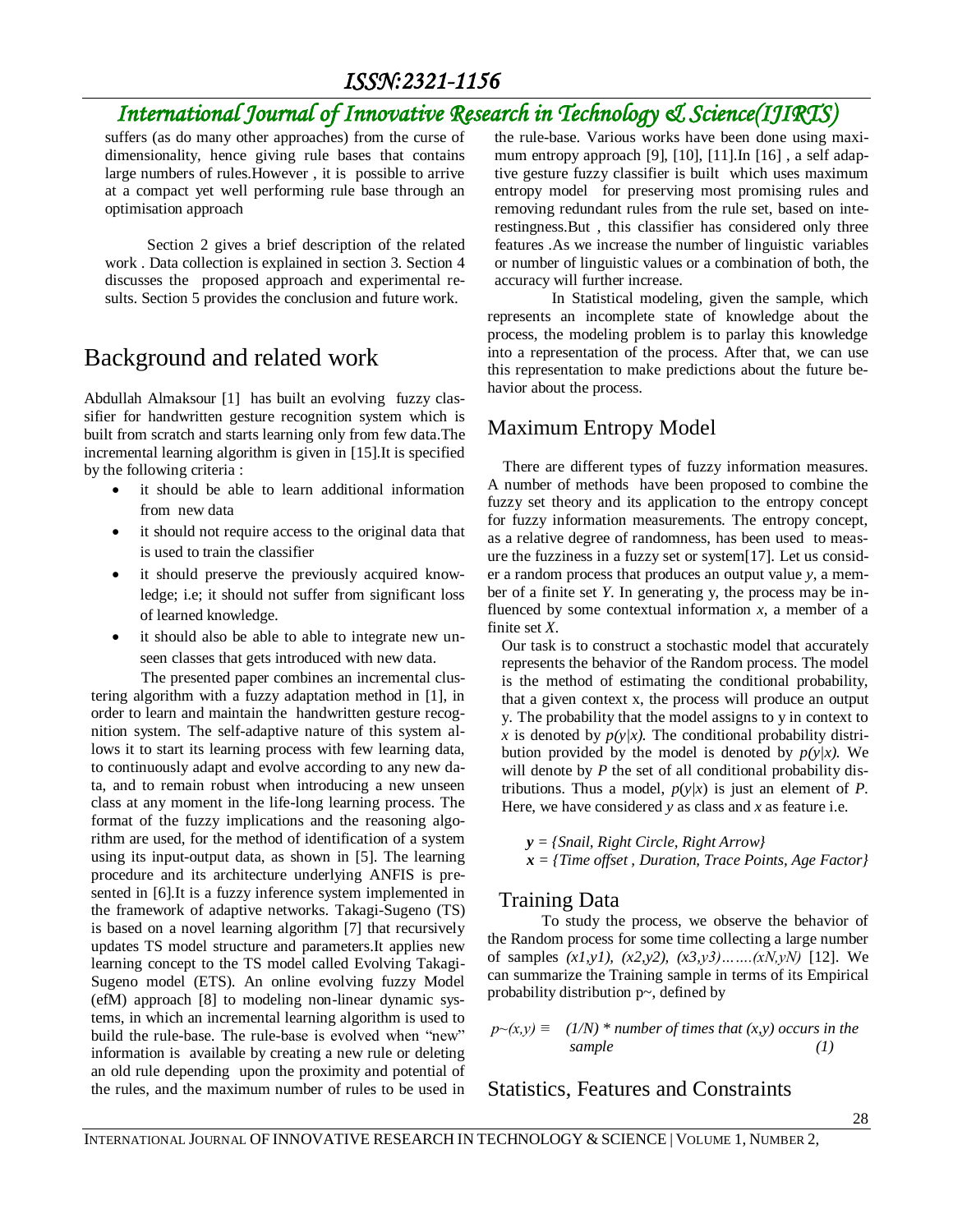## *ISSN:2321-1156*

## *International Journal of Innovative Research in Technology & Science(IJIRTS)*

suffers (as do many other approaches) from the curse of dimensionality, hence giving rule bases that contains large numbers of rules.However , it is possible to arrive at a compact yet well performing rule base through an optimisation approach

 Section 2 gives a brief description of the related work . Data collection is explained in section 3. Section 4 discusses the proposed approach and experimental results. Section 5 provides the conclusion and future work.

## Background and related work

Abdullah Almaksour [1] has built an evolving fuzzy classifier for handwritten gesture recognition system which is built from scratch and starts learning only from few data.The incremental learning algorithm is given in [15].It is specified by the following criteria :

- it should be able to learn additional information from new data
- it should not require access to the original data that is used to train the classifier
- it should preserve the previously acquired knowledge; i.e; it should not suffer from significant loss of learned knowledge.
- it should also be able to able to integrate new unseen classes that gets introduced with new data.

The presented paper combines an incremental clustering algorithm with a fuzzy adaptation method in [1], in order to learn and maintain the handwritten gesture recognition system. The self-adaptive nature of this system allows it to start its learning process with few learning data, to continuously adapt and evolve according to any new data, and to remain robust when introducing a new unseen class at any moment in the life-long learning process. The format of the fuzzy implications and the reasoning algorithm are used, for the method of identification of a system using its input-output data, as shown in [5]. The learning procedure and its architecture underlying ANFIS is presented in [6].It is a fuzzy inference system implemented in the framework of adaptive networks. Takagi-Sugeno (TS) is based on a novel learning algorithm [7] that recursively updates TS model structure and parameters.It applies new learning concept to the TS model called Evolving Takagi-Sugeno model (ETS). An online evolving fuzzy Model (efM) approach [8] to modeling non-linear dynamic systems, in which an incremental learning algorithm is used to build the rule-base. The rule-base is evolved when "new" information is available by creating a new rule or deleting an old rule depending upon the proximity and potential of the rules, and the maximum number of rules to be used in the rule-base. Various works have been done using maximum entropy approach [9], [10], [11].In [16] , a self adaptive gesture fuzzy classifier is built which uses maximum entropy model for preserving most promising rules and removing redundant rules from the rule set, based on interestingness.But , this classifier has considered only three features .As we increase the number of linguistic variables or number of linguistic values or a combination of both, the accuracy will further increase.

 In Statistical modeling, given the sample, which represents an incomplete state of knowledge about the process, the modeling problem is to parlay this knowledge into a representation of the process. After that, we can use this representation to make predictions about the future behavior about the process.

### Maximum Entropy Model

 There are different types of fuzzy information measures. A number of methods have been proposed to combine the fuzzy set theory and its application to the entropy concept for fuzzy information measurements. The entropy concept, as a relative degree of randomness, has been used to measure the fuzziness in a fuzzy set or system[17]. Let us consider a random process that produces an output value *y*, a member of a finite set *Y*. In generating y, the process may be influenced by some contextual information  $x$ , a member of a finite set *X*.

Our task is to construct a stochastic model that accurately represents the behavior of the Random process. The model is the method of estimating the conditional probability, that a given context x, the process will produce an output y. The probability that the model assigns to y in context to *x* is denoted by  $p(y|x)$ . The conditional probability distribution provided by the model is denoted by  $p(y|x)$ . We will denote by *P* the set of all conditional probability distributions. Thus a model,  $p(y|x)$  is just an element of *P*. Here, we have considered *y* as class and *x* as feature i.e.

 *y = {Snail, Right Circle, Right Arrow} x = {Time offset , Duration, Trace Points, Age Factor}*

#### Training Data

 To study the process, we observe the behavior of the Random process for some time collecting a large number of samples *(x1,y1), (x2,y2), (x3,y3)…….(xN,yN)* [12]. We can summarize the Training sample in terms of its Empirical probability distribution p~, defined by

$$
p(\mathbf{x}, \mathbf{y}) = (1/N) * number of times that (x, y) occurs in thesample \t(1)
$$

Statistics, Features and Constraints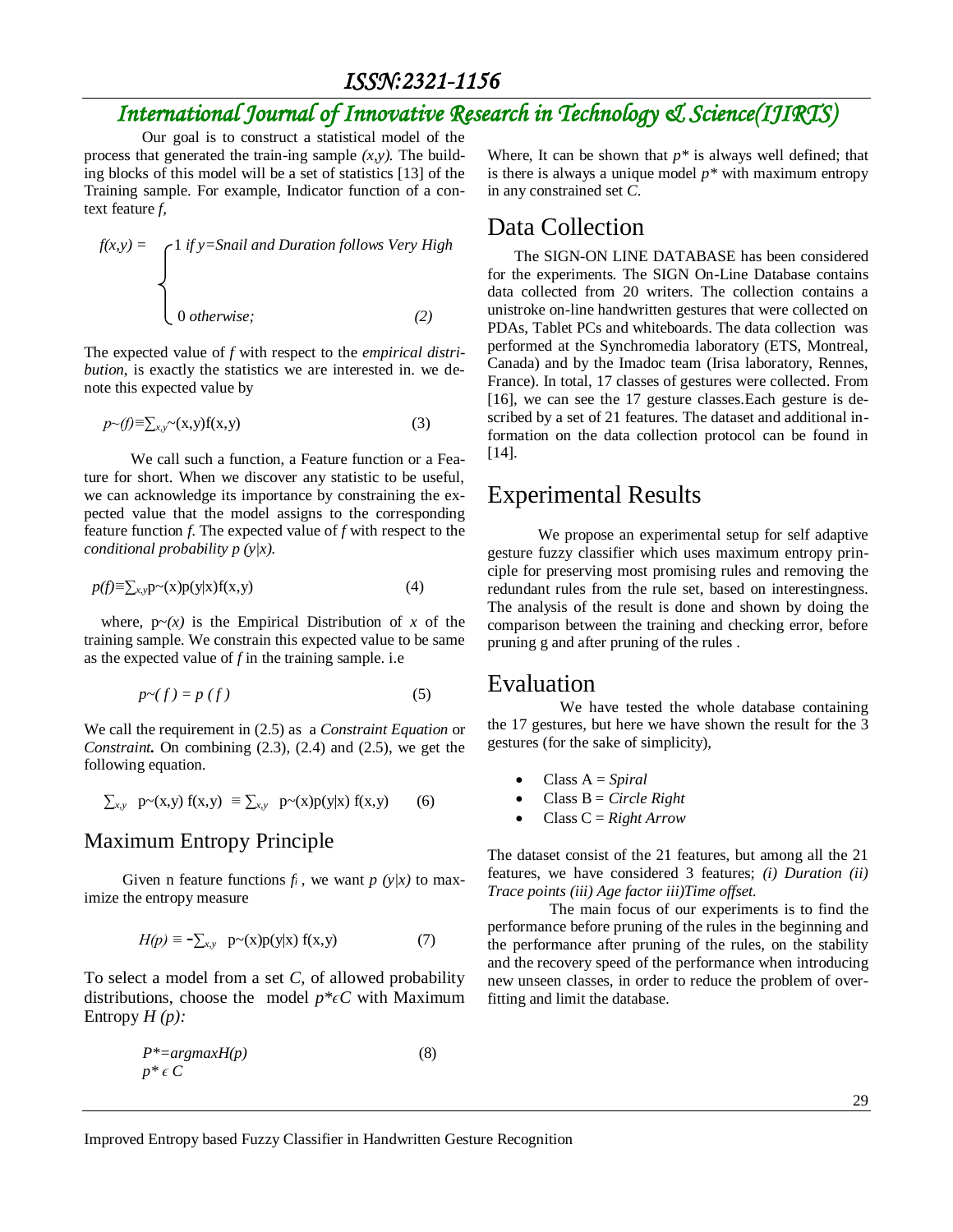*ISSN:2321-1156* 

## *International Journal of Innovative Research in Technology & Science(IJIRTS)*

 Our goal is to construct a statistical model of the process that generated the train-ing sample  $(x, y)$ . The building blocks of this model will be a set of statistics [13] of the Training sample. For example, Indicator function of a context feature *f,* 

$$
f(x,y) = \begin{cases} 1 & \text{if } y = \text{Snail and} \text{ \textit{Duration follows } \text{Very High} \\ & \\ 0 & \text{otherwise}; \end{cases}
$$
 (2)

The expected value of *f* with respect to the *empirical distribution*, is exactly the statistics we are interested in. we denote this expected value by

$$
p \sim(f) \equiv \sum_{x,y} \sim(x,y) f(x,y) \tag{3}
$$

 We call such a function, a Feature function or a Feature for short. When we discover any statistic to be useful, we can acknowledge its importance by constraining the expected value that the model assigns to the corresponding feature function *f*. The expected value of *f* with respect to the *conditional probability p (y|x).*

$$
p(f) \equiv \sum_{x,y} p(x) p(y|x) f(x,y) \tag{4}
$$

where,  $p(x)$  is the Empirical Distribution of x of the training sample. We constrain this expected value to be same as the expected value of *f* in the training sample. i.e

$$
p \sim (f) = p(f) \tag{5}
$$

We call the requirement in (2.5) as a *Constraint Equation* or *Constraint***.** On combining (2.3), (2.4) and (2.5), we get the following equation.

$$
\sum_{x,y} p\thicksim(x,y) f(x,y) \equiv \sum_{x,y} p\thicksim(x) p(y|x) f(x,y) \qquad (6)
$$

#### Maximum Entropy Principle

Given n feature functions  $f_i$ , we want  $p(y|x)$  to maximize the entropy measure

$$
H(p) \equiv -\sum_{x,y} p(x)p(y|x) f(x,y)
$$
 (7)

To select a model from a set *C*, of allowed probability distributions, choose the model *p\*ϵC* with Maximum Entropy *H (p):* 

$$
P^* = argmax H(p) \tag{8}
$$
  

$$
p^* \in C
$$

Where, It can be shown that  $p^*$  is always well defined; that is there is always a unique model *p\** with maximum entropy in any constrained set *C*.

#### Data Collection

 The SIGN-ON LINE DATABASE has been considered for the experiments. The SIGN On-Line Database contains data collected from 20 writers. The collection contains a unistroke on-line handwritten gestures that were collected on PDAs, Tablet PCs and whiteboards. The data collection was performed at the Synchromedia laboratory (ETS, Montreal, Canada) and by the Imadoc team (Irisa laboratory, Rennes, France). In total, 17 classes of gestures were collected. From [16], we can see the 17 gesture classes.Each gesture is described by a set of 21 features. The dataset and additional information on the data collection protocol can be found in [14].

### Experimental Results

 We propose an experimental setup for self adaptive gesture fuzzy classifier which uses maximum entropy principle for preserving most promising rules and removing the redundant rules from the rule set, based on interestingness. The analysis of the result is done and shown by doing the comparison between the training and checking error, before pruning g and after pruning of the rules .

#### Evaluation

 We have tested the whole database containing the 17 gestures, but here we have shown the result for the 3 gestures (for the sake of simplicity),

- Class A = *Spiral*
- Class B = *Circle Right*
- Class C = *Right Arrow*

The dataset consist of the 21 features, but among all the 21 features, we have considered 3 features; *(i) Duration (ii) Trace points (iii) Age factor iii)Time offset.*

 The main focus of our experiments is to find the performance before pruning of the rules in the beginning and the performance after pruning of the rules, on the stability and the recovery speed of the performance when introducing new unseen classes, in order to reduce the problem of overfitting and limit the database.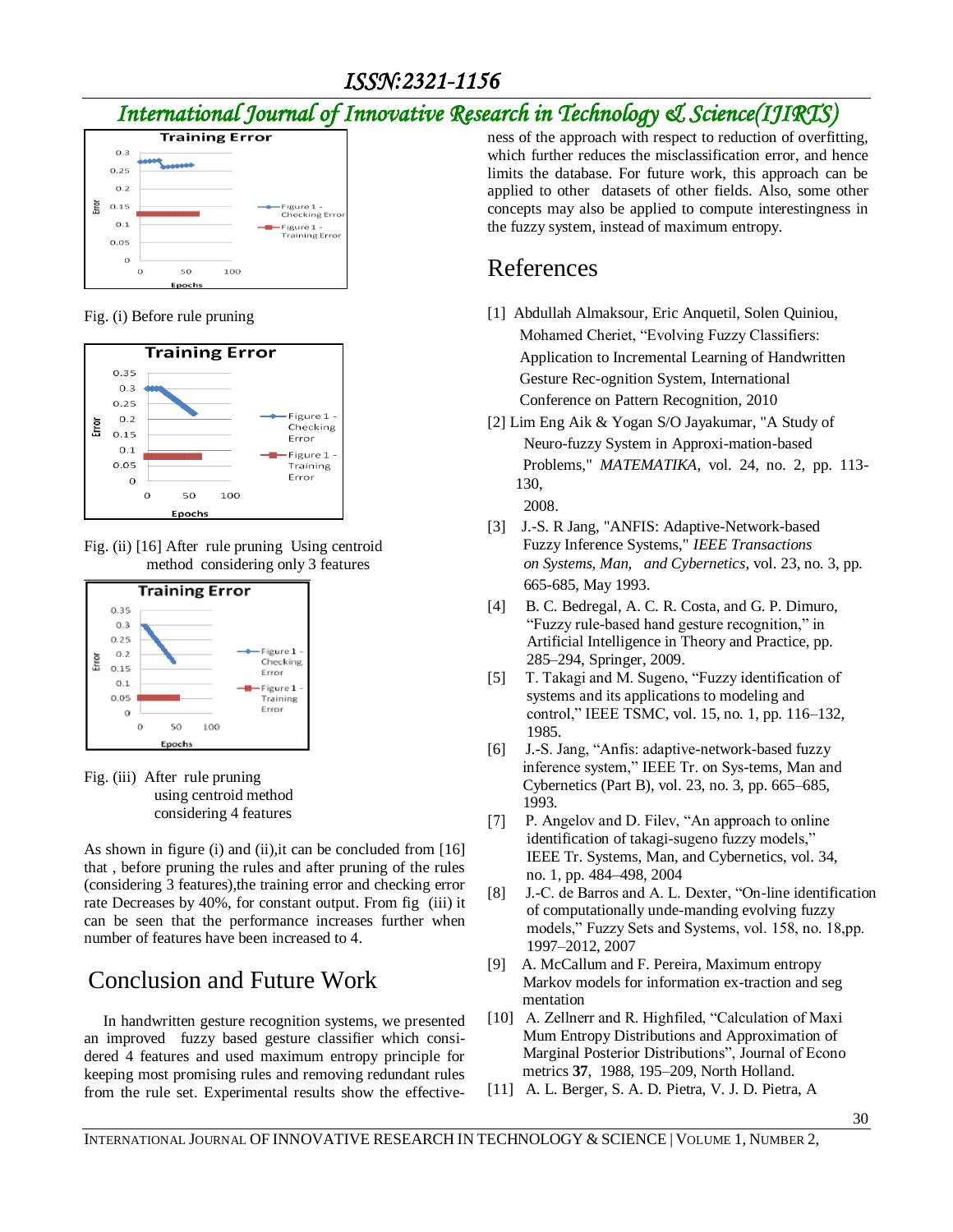## *International Journal of Innovative Research in Technology & Science(IJIRTS)*



Fig. (i) Before rule pruning



Fig. (ii) [16] After rule pruning Using centroid method considering only 3 features



Fig. (iii) After rule pruning using centroid method considering 4 features

As shown in figure (i) and (ii), it can be concluded from [16] that , before pruning the rules and after pruning of the rules (considering 3 features),the training error and checking error rate Decreases by 40%, for constant output. From fig (iii) it can be seen that the performance increases further when number of features have been increased to 4.

## Conclusion and Future Work

 In handwritten gesture recognition systems, we presented an improved fuzzy based gesture classifier which considered 4 features and used maximum entropy principle for keeping most promising rules and removing redundant rules from the rule set. Experimental results show the effectiveness of the approach with respect to reduction of overfitting, which further reduces the misclassification error, and hence limits the database. For future work, this approach can be applied to other datasets of other fields. Also, some other concepts may also be applied to compute interestingness in the fuzzy system, instead of maximum entropy.

## References

- [1] Abdullah Almaksour, Eric Anquetil, Solen Quiniou, Mohamed Cheriet, "Evolving Fuzzy Classifiers: Application to Incremental Learning of Handwritten Gesture Rec-ognition System, International Conference on Pattern Recognition, 2010
- [2] Lim Eng Aik & Yogan S/O Jayakumar, "A Study of Neuro-fuzzy System in Approxi-mation-based Problems," *MATEMATIKA*, vol. 24, no. 2, pp. 113- 130, 2008.
- [3] J.-S. R Jang, "ANFIS: Adaptive-Network-based Fuzzy Inference Systems," *IEEE Transactions on Systems, Man, and Cybernetics*, vol. 23, no. 3, pp. 665-685, May 1993.
- [4] B. C. Bedregal, A. C. R. Costa, and G. P. Dimuro, "Fuzzy rule-based hand gesture recognition," in Artificial Intelligence in Theory and Practice, pp. 285–294, Springer, 2009.
- [5] T. Takagi and M. Sugeno, "Fuzzy identification of systems and its applications to modeling and control," IEEE TSMC*,* vol. 15, no. 1, pp. 116–132, 1985.
- [6] J.-S. Jang, "Anfis: adaptive-network-based fuzzy inference system," IEEE Tr. on Sys-tems, Man and Cybernetics (Part B), vol. 23, no. 3, pp. 665–685, 1993.
- [7] P. Angelov and D. Filev, "An approach to online identification of takagi-sugeno fuzzy models," IEEE Tr. Systems, Man, and Cybernetics, vol. 34, no. 1, pp. 484–498*,* 2004
- [8] J.-C. de Barros and A. L. Dexter, "On-line identification of computationally unde-manding evolving fuzzy models," Fuzzy Sets and Systems, vol. 158, no. 18,pp. 1997–2012, 2007
- [9] A. McCallum and F. Pereira, Maximum entropy Markov models for information ex-traction and seg mentation
- [10] A. Zellnerr and R. Highfiled, "Calculation of Maxi Mum Entropy Distributions and Approximation of Marginal Posterior Distributions", Journal of Econo metrics **37**, 1988, 195–209, North Holland.
- [11] A. L. Berger, S. A. D. Pietra, V. J. D. Pietra, A